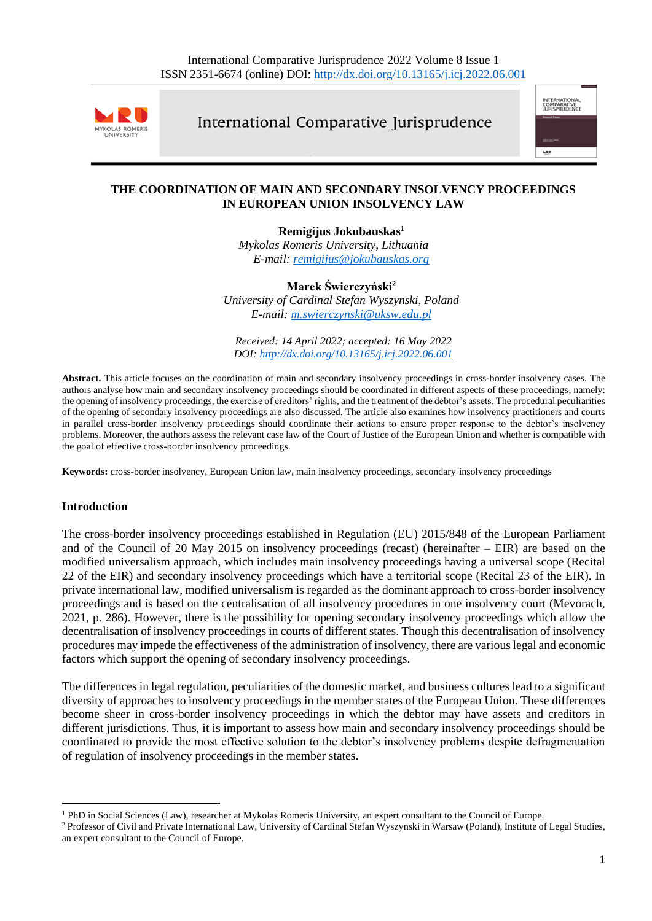

International Comparative Jurisprudence



## **THE COORDINATION OF MAIN AND SECONDARY INSOLVENCY PROCEEDINGS IN EUROPEAN UNION INSOLVENCY LAW**

**Remigijus Jokubauskas<sup>1</sup>** *Mykolas Romeris University, Lithuania E-mail: [remigijus@jokubauskas.org](mailto:remigijus@jokubauskas.org)*

**Marek Świerczyński<sup>2</sup>** *University of Cardinal Stefan Wyszynski, Poland E-mail: [m.swierczynski@uksw.edu.pl](mailto:m.swierczynski@uksw.edu.pl)*

*Received: 14 April 2022; accepted: 16 May 2022 DOI: <http://dx.doi.org/10.13165/j.icj.2022.06.001>*

**Abstract.** This article focuses on the coordination of main and secondary insolvency proceedings in cross-border insolvency cases. The authors analyse how main and secondary insolvency proceedings should be coordinated in different aspects of these proceedings, namely: the opening of insolvency proceedings, the exercise of creditors' rights, and the treatment of the debtor's assets. The procedural peculiarities of the opening of secondary insolvency proceedings are also discussed. The article also examines how insolvency practitioners and courts in parallel cross-border insolvency proceedings should coordinate their actions to ensure proper response to the debtor's insolvency problems. Moreover, the authors assess the relevant case law of the Court of Justice of the European Union and whether is compatible with the goal of effective cross-border insolvency proceedings.

**Keywords:** cross-border insolvency, European Union law, main insolvency proceedings, secondary insolvency proceedings

### **Introduction**

The cross-border insolvency proceedings established in Regulation (EU) 2015/848 of the European Parliament and of the Council of 20 May 2015 on insolvency proceedings (recast) (hereinafter – EIR) are based on the modified universalism approach, which includes main insolvency proceedings having a universal scope (Recital 22 of the EIR) and secondary insolvency proceedings which have a territorial scope (Recital 23 of the EIR). In private international law, modified universalism is regarded as the dominant approach to cross-border insolvency proceedings and is based on the centralisation of all insolvency procedures in one insolvency court (Mevorach, 2021, p. 286). However, there is the possibility for opening secondary insolvency proceedings which allow the decentralisation of insolvency proceedings in courts of different states. Though this decentralisation of insolvency procedures may impede the effectiveness of the administration of insolvency, there are various legal and economic factors which support the opening of secondary insolvency proceedings.

The differences in legal regulation, peculiarities of the domestic market, and business cultures lead to a significant diversity of approaches to insolvency proceedings in the member states of the European Union. These differences become sheer in cross-border insolvency proceedings in which the debtor may have assets and creditors in different jurisdictions. Thus, it is important to assess how main and secondary insolvency proceedings should be coordinated to provide the most effective solution to the debtor's insolvency problems despite defragmentation of regulation of insolvency proceedings in the member states.

<sup>1</sup> PhD in Social Sciences (Law), researcher at Mykolas Romeris University, an expert consultant to the Council of Europe.

<sup>2</sup> Professor of Civil and Private International Law, University of Cardinal Stefan Wyszynski in Warsaw (Poland), Institute of Legal Studies, an expert consultant to the Council of Europe.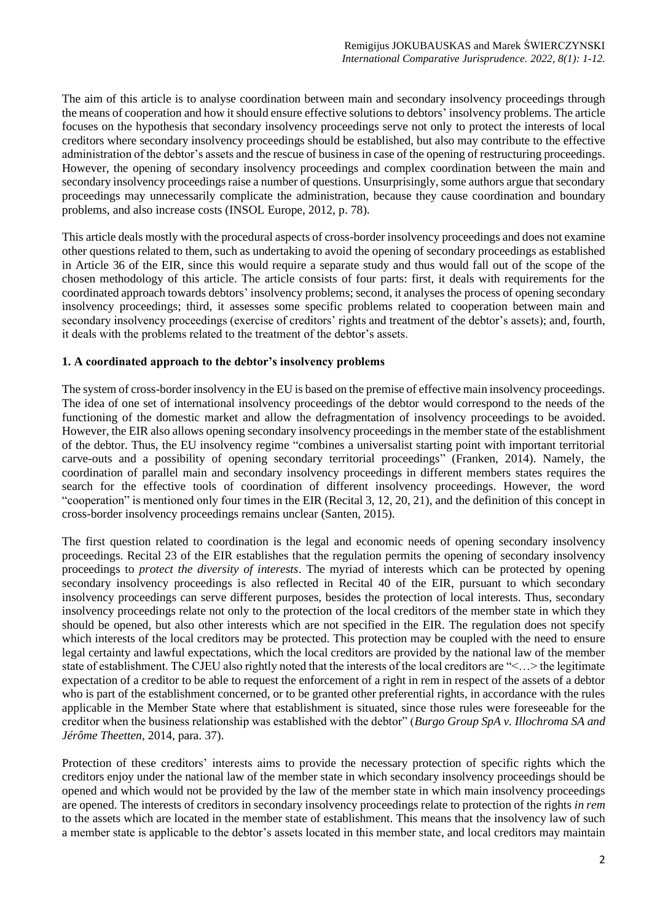The aim of this article is to analyse coordination between main and secondary insolvency proceedings through the means of cooperation and how it should ensure effective solutions to debtors' insolvency problems. The article focuses on the hypothesis that secondary insolvency proceedings serve not only to protect the interests of local creditors where secondary insolvency proceedings should be established, but also may contribute to the effective administration of the debtor's assets and the rescue of business in case of the opening of restructuring proceedings. However, the opening of secondary insolvency proceedings and complex coordination between the main and secondary insolvency proceedings raise a number of questions. Unsurprisingly, some authors argue that secondary proceedings may unnecessarily complicate the administration, because they cause coordination and boundary problems, and also increase costs (INSOL Europe, 2012, p. 78).

This article deals mostly with the procedural aspects of cross-border insolvency proceedings and does not examine other questions related to them, such as undertaking to avoid the opening of secondary proceedings as established in Article 36 of the EIR, since this would require a separate study and thus would fall out of the scope of the chosen methodology of this article. The article consists of four parts: first, it deals with requirements for the coordinated approach towards debtors' insolvency problems; second, it analyses the process of opening secondary insolvency proceedings; third, it assesses some specific problems related to cooperation between main and secondary insolvency proceedings (exercise of creditors' rights and treatment of the debtor's assets); and, fourth, it deals with the problems related to the treatment of the debtor's assets.

### **1. A coordinated approach to the debtor's insolvency problems**

The system of cross-border insolvency in the EU is based on the premise of effective main insolvency proceedings. The idea of one set of international insolvency proceedings of the debtor would correspond to the needs of the functioning of the domestic market and allow the defragmentation of insolvency proceedings to be avoided. However, the EIR also allows opening secondary insolvency proceedings in the member state of the establishment of the debtor. Thus, the EU insolvency regime "combines a universalist starting point with important territorial carve-outs and a possibility of opening secondary territorial proceedings" (Franken, 2014). Namely, the coordination of parallel main and secondary insolvency proceedings in different members states requires the search for the effective tools of coordination of different insolvency proceedings. However, the word "cooperation" is mentioned only four times in the EIR (Recital 3, 12, 20, 21), and the definition of this concept in cross-border insolvency proceedings remains unclear (Santen, 2015).

The first question related to coordination is the legal and economic needs of opening secondary insolvency proceedings. Recital 23 of the EIR establishes that the regulation permits the opening of secondary insolvency proceedings to *protect the diversity of interests*. The myriad of interests which can be protected by opening secondary insolvency proceedings is also reflected in Recital 40 of the EIR, pursuant to which secondary insolvency proceedings can serve different purposes, besides the protection of local interests. Thus, secondary insolvency proceedings relate not only to the protection of the local creditors of the member state in which they should be opened, but also other interests which are not specified in the EIR. The regulation does not specify which interests of the local creditors may be protected. This protection may be coupled with the need to ensure legal certainty and lawful expectations, which the local creditors are provided by the national law of the member state of establishment. The CJEU also rightly noted that the interests of the local creditors are "<…> the legitimate expectation of a creditor to be able to request the enforcement of a right in rem in respect of the assets of a debtor who is part of the establishment concerned, or to be granted other preferential rights, in accordance with the rules applicable in the Member State where that establishment is situated, since those rules were foreseeable for the creditor when the business relationship was established with the debtor" (*Burgo Group SpA v. Illochroma SA and Jérôme Theetten*, 2014, para. 37).

Protection of these creditors' interests aims to provide the necessary protection of specific rights which the creditors enjoy under the national law of the member state in which secondary insolvency proceedings should be opened and which would not be provided by the law of the member state in which main insolvency proceedings are opened. The interests of creditors in secondary insolvency proceedings relate to protection of the rights *in rem* to the assets which are located in the member state of establishment. This means that the insolvency law of such a member state is applicable to the debtor's assets located in this member state, and local creditors may maintain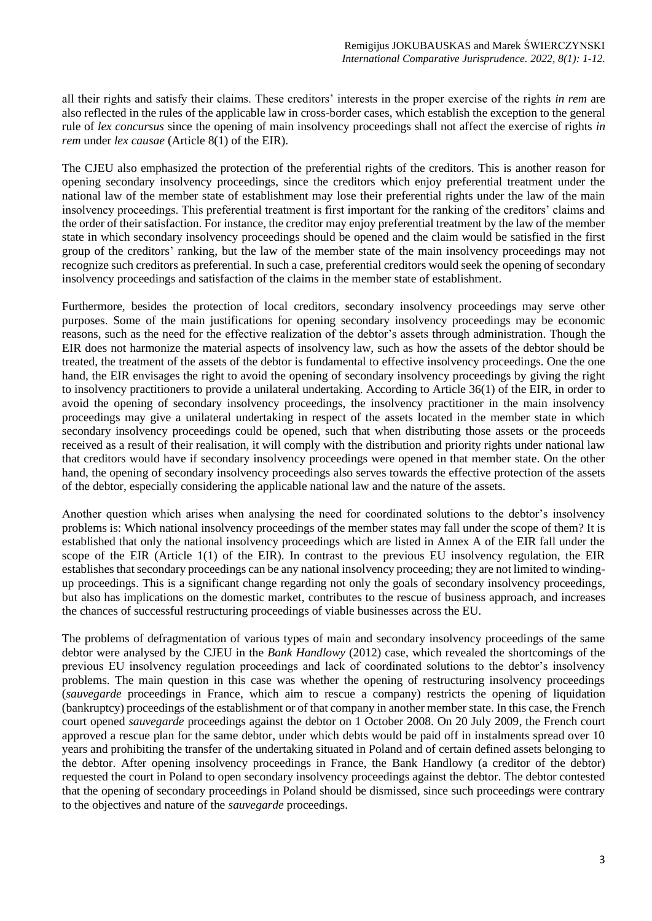all their rights and satisfy their claims. These creditors' interests in the proper exercise of the rights *in rem* are also reflected in the rules of the applicable law in cross-border cases, which establish the exception to the general rule of *lex concursus* since the opening of main insolvency proceedings shall not affect the exercise of rights *in rem* under *lex causae* (Article 8(1) of the EIR).

The CJEU also emphasized the protection of the preferential rights of the creditors. This is another reason for opening secondary insolvency proceedings, since the creditors which enjoy preferential treatment under the national law of the member state of establishment may lose their preferential rights under the law of the main insolvency proceedings. This preferential treatment is first important for the ranking of the creditors' claims and the order of their satisfaction. For instance, the creditor may enjoy preferential treatment by the law of the member state in which secondary insolvency proceedings should be opened and the claim would be satisfied in the first group of the creditors' ranking, but the law of the member state of the main insolvency proceedings may not recognize such creditors as preferential. In such a case, preferential creditors would seek the opening of secondary insolvency proceedings and satisfaction of the claims in the member state of establishment.

Furthermore, besides the protection of local creditors, secondary insolvency proceedings may serve other purposes. Some of the main justifications for opening secondary insolvency proceedings may be economic reasons, such as the need for the effective realization of the debtor's assets through administration. Though the EIR does not harmonize the material aspects of insolvency law, such as how the assets of the debtor should be treated, the treatment of the assets of the debtor is fundamental to effective insolvency proceedings. One the one hand, the EIR envisages the right to avoid the opening of secondary insolvency proceedings by giving the right to insolvency practitioners to provide a unilateral undertaking. According to Article 36(1) of the EIR, in order to avoid the opening of secondary insolvency proceedings, the insolvency practitioner in the main insolvency proceedings may give a unilateral undertaking in respect of the assets located in the member state in which secondary insolvency proceedings could be opened, such that when distributing those assets or the proceeds received as a result of their realisation, it will comply with the distribution and priority rights under national law that creditors would have if secondary insolvency proceedings were opened in that member state. On the other hand, the opening of secondary insolvency proceedings also serves towards the effective protection of the assets of the debtor, especially considering the applicable national law and the nature of the assets.

Another question which arises when analysing the need for coordinated solutions to the debtor's insolvency problems is: Which national insolvency proceedings of the member states may fall under the scope of them? It is established that only the national insolvency proceedings which are listed in Annex A of the EIR fall under the scope of the EIR (Article 1(1) of the EIR). In contrast to the previous EU insolvency regulation, the EIR establishes that secondary proceedings can be any national insolvency proceeding; they are not limited to windingup proceedings. This is a significant change regarding not only the goals of secondary insolvency proceedings, but also has implications on the domestic market, contributes to the rescue of business approach, and increases the chances of successful restructuring proceedings of viable businesses across the EU.

The problems of defragmentation of various types of main and secondary insolvency proceedings of the same debtor were analysed by the CJEU in the *Bank Handlowy* (2012) case, which revealed the shortcomings of the previous EU insolvency regulation proceedings and lack of coordinated solutions to the debtor's insolvency problems. The main question in this case was whether the opening of restructuring insolvency proceedings (*sauvegarde* proceedings in France, which aim to rescue a company) restricts the opening of liquidation (bankruptcy) proceedings of the establishment or of that company in another member state. In this case, the French court opened *sauvegarde* proceedings against the debtor on 1 October 2008. On 20 July 2009, the French court approved a rescue plan for the same debtor, under which debts would be paid off in instalments spread over 10 years and prohibiting the transfer of the undertaking situated in Poland and of certain defined assets belonging to the debtor. After opening insolvency proceedings in France, the Bank Handlowy (a creditor of the debtor) requested the court in Poland to open secondary insolvency proceedings against the debtor. The debtor contested that the opening of secondary proceedings in Poland should be dismissed, since such proceedings were contrary to the objectives and nature of the *sauvegarde* proceedings.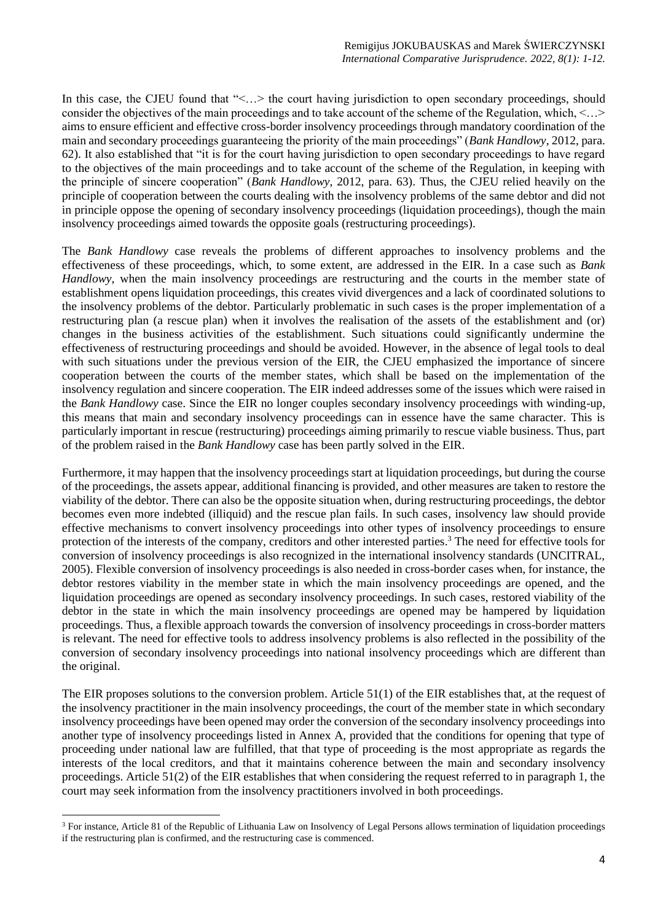In this case, the CJEU found that "<...> the court having jurisdiction to open secondary proceedings, should consider the objectives of the main proceedings and to take account of the scheme of the Regulation, which, <…> aims to ensure efficient and effective cross-border insolvency proceedings through mandatory coordination of the main and secondary proceedings guaranteeing the priority of the main proceedings" (*Bank Handlowy*, 2012, para. 62). It also established that "it is for the court having jurisdiction to open secondary proceedings to have regard to the objectives of the main proceedings and to take account of the scheme of the Regulation, in keeping with the principle of sincere cooperation" (*Bank Handlowy*, 2012, para. 63). Thus, the CJEU relied heavily on the principle of cooperation between the courts dealing with the insolvency problems of the same debtor and did not in principle oppose the opening of secondary insolvency proceedings (liquidation proceedings), though the main insolvency proceedings aimed towards the opposite goals (restructuring proceedings).

The *Bank Handlowy* case reveals the problems of different approaches to insolvency problems and the effectiveness of these proceedings, which, to some extent, are addressed in the EIR. In a case such as *Bank Handlowy*, when the main insolvency proceedings are restructuring and the courts in the member state of establishment opens liquidation proceedings, this creates vivid divergences and a lack of coordinated solutions to the insolvency problems of the debtor. Particularly problematic in such cases is the proper implementation of a restructuring plan (a rescue plan) when it involves the realisation of the assets of the establishment and (or) changes in the business activities of the establishment. Such situations could significantly undermine the effectiveness of restructuring proceedings and should be avoided. However, in the absence of legal tools to deal with such situations under the previous version of the EIR, the CJEU emphasized the importance of sincere cooperation between the courts of the member states, which shall be based on the implementation of the insolvency regulation and sincere cooperation. The EIR indeed addresses some of the issues which were raised in the *Bank Handlowy* case. Since the EIR no longer couples secondary insolvency proceedings with winding-up, this means that main and secondary insolvency proceedings can in essence have the same character. This is particularly important in rescue (restructuring) proceedings aiming primarily to rescue viable business. Thus, part of the problem raised in the *Bank Handlowy* case has been partly solved in the EIR.

Furthermore, it may happen that the insolvency proceedings start at liquidation proceedings, but during the course of the proceedings, the assets appear, additional financing is provided, and other measures are taken to restore the viability of the debtor. There can also be the opposite situation when, during restructuring proceedings, the debtor becomes even more indebted (illiquid) and the rescue plan fails. In such cases, insolvency law should provide effective mechanisms to convert insolvency proceedings into other types of insolvency proceedings to ensure protection of the interests of the company, creditors and other interested parties.<sup>3</sup> The need for effective tools for conversion of insolvency proceedings is also recognized in the international insolvency standards (UNCITRAL, 2005). Flexible conversion of insolvency proceedings is also needed in cross-border cases when, for instance, the debtor restores viability in the member state in which the main insolvency proceedings are opened, and the liquidation proceedings are opened as secondary insolvency proceedings. In such cases, restored viability of the debtor in the state in which the main insolvency proceedings are opened may be hampered by liquidation proceedings. Thus, a flexible approach towards the conversion of insolvency proceedings in cross-border matters is relevant. The need for effective tools to address insolvency problems is also reflected in the possibility of the conversion of secondary insolvency proceedings into national insolvency proceedings which are different than the original.

The EIR proposes solutions to the conversion problem. Article 51(1) of the EIR establishes that, at the request of the insolvency practitioner in the main insolvency proceedings, the court of the member state in which secondary insolvency proceedings have been opened may order the conversion of the secondary insolvency proceedings into another type of insolvency proceedings listed in Annex A, provided that the conditions for opening that type of proceeding under national law are fulfilled, that that type of proceeding is the most appropriate as regards the interests of the local creditors, and that it maintains coherence between the main and secondary insolvency proceedings. Article 51(2) of the EIR establishes that when considering the request referred to in paragraph 1, the court may seek information from the insolvency practitioners involved in both proceedings.

<sup>&</sup>lt;sup>3</sup> For instance, Article 81 of the Republic of Lithuania Law on Insolvency of Legal Persons allows termination of liquidation proceedings if the restructuring plan is confirmed, and the restructuring case is commenced.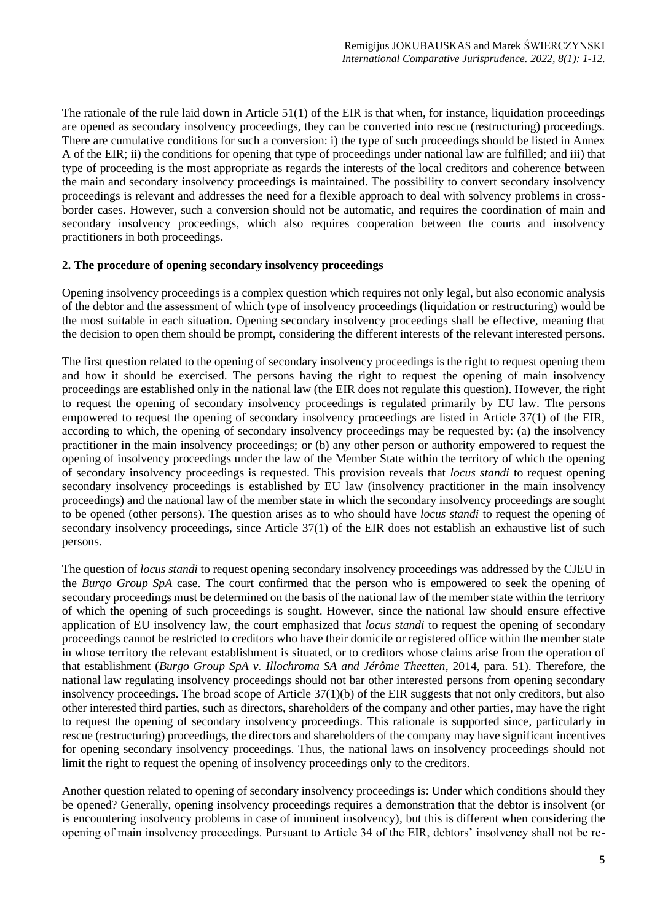The rationale of the rule laid down in Article 51(1) of the EIR is that when, for instance, liquidation proceedings are opened as secondary insolvency proceedings, they can be converted into rescue (restructuring) proceedings. There are cumulative conditions for such a conversion: i) the type of such proceedings should be listed in Annex A of the EIR; ii) the conditions for opening that type of proceedings under national law are fulfilled; and iii) that type of proceeding is the most appropriate as regards the interests of the local creditors and coherence between the main and secondary insolvency proceedings is maintained. The possibility to convert secondary insolvency proceedings is relevant and addresses the need for a flexible approach to deal with solvency problems in crossborder cases. However, such a conversion should not be automatic, and requires the coordination of main and secondary insolvency proceedings, which also requires cooperation between the courts and insolvency practitioners in both proceedings.

## **2. The procedure of opening secondary insolvency proceedings**

Opening insolvency proceedings is a complex question which requires not only legal, but also economic analysis of the debtor and the assessment of which type of insolvency proceedings (liquidation or restructuring) would be the most suitable in each situation. Opening secondary insolvency proceedings shall be effective, meaning that the decision to open them should be prompt, considering the different interests of the relevant interested persons.

The first question related to the opening of secondary insolvency proceedings is the right to request opening them and how it should be exercised. The persons having the right to request the opening of main insolvency proceedings are established only in the national law (the EIR does not regulate this question). However, the right to request the opening of secondary insolvency proceedings is regulated primarily by EU law. The persons empowered to request the opening of secondary insolvency proceedings are listed in Article 37(1) of the EIR, according to which, the opening of secondary insolvency proceedings may be requested by: (a) the insolvency practitioner in the main insolvency proceedings; or (b) any other person or authority empowered to request the opening of insolvency proceedings under the law of the Member State within the territory of which the opening of secondary insolvency proceedings is requested. This provision reveals that *locus standi* to request opening secondary insolvency proceedings is established by EU law (insolvency practitioner in the main insolvency proceedings) and the national law of the member state in which the secondary insolvency proceedings are sought to be opened (other persons). The question arises as to who should have *locus standi* to request the opening of secondary insolvency proceedings, since Article 37(1) of the EIR does not establish an exhaustive list of such persons.

The question of *locus standi* to request opening secondary insolvency proceedings was addressed by the CJEU in the *Burgo Group SpA* case. The court confirmed that the person who is empowered to seek the opening of secondary proceedings must be determined on the basis of the national law of the member state within the territory of which the opening of such proceedings is sought. However, since the national law should ensure effective application of EU insolvency law, the court emphasized that *locus standi* to request the opening of secondary proceedings cannot be restricted to creditors who have their domicile or registered office within the member state in whose territory the relevant establishment is situated, or to creditors whose claims arise from the operation of that establishment (*Burgo Group SpA v. Illochroma SA and Jérôme Theetten*, 2014, para. 51). Therefore, the national law regulating insolvency proceedings should not bar other interested persons from opening secondary insolvency proceedings. The broad scope of Article 37(1)(b) of the EIR suggests that not only creditors, but also other interested third parties, such as directors, shareholders of the company and other parties, may have the right to request the opening of secondary insolvency proceedings. This rationale is supported since, particularly in rescue (restructuring) proceedings, the directors and shareholders of the company may have significant incentives for opening secondary insolvency proceedings. Thus, the national laws on insolvency proceedings should not limit the right to request the opening of insolvency proceedings only to the creditors.

Another question related to opening of secondary insolvency proceedings is: Under which conditions should they be opened? Generally, opening insolvency proceedings requires a demonstration that the debtor is insolvent (or is encountering insolvency problems in case of imminent insolvency), but this is different when considering the opening of main insolvency proceedings. Pursuant to Article 34 of the EIR, debtors' insolvency shall not be re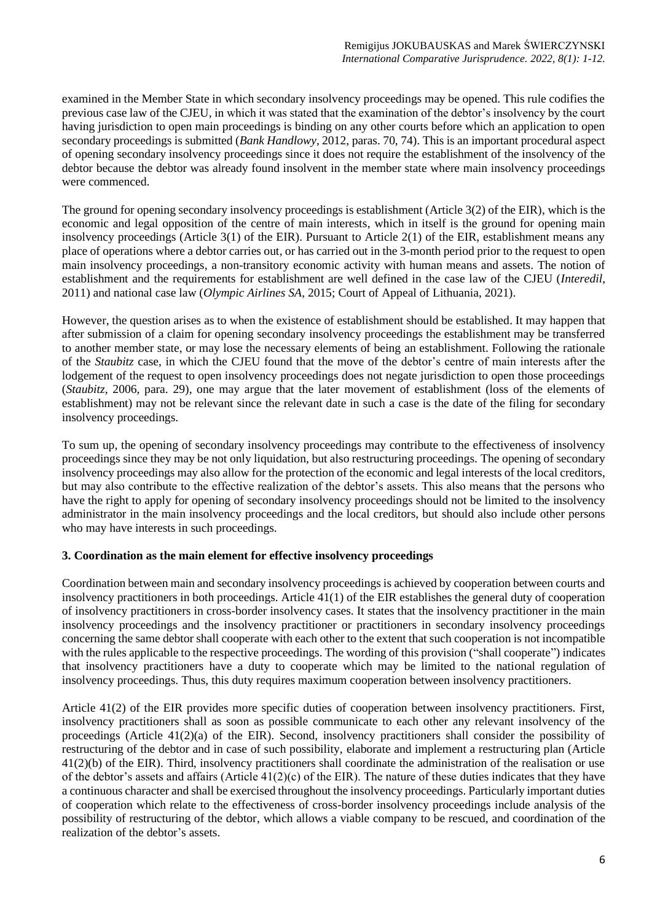examined in the Member State in which secondary insolvency proceedings may be opened. This rule codifies the previous case law of the CJEU, in which it was stated that the examination of the debtor's insolvency by the court having jurisdiction to open main proceedings is binding on any other courts before which an application to open secondary proceedings is submitted (*Bank Handlowy*, 2012, paras. 70, 74). This is an important procedural aspect of opening secondary insolvency proceedings since it does not require the establishment of the insolvency of the debtor because the debtor was already found insolvent in the member state where main insolvency proceedings were commenced.

The ground for opening secondary insolvency proceedings is establishment (Article 3(2) of the EIR), which is the economic and legal opposition of the centre of main interests, which in itself is the ground for opening main insolvency proceedings (Article 3(1) of the EIR). Pursuant to Article 2(1) of the EIR, establishment means any place of operations where a debtor carries out, or has carried out in the 3-month period prior to the request to open main insolvency proceedings, a non-transitory economic activity with human means and assets. The notion of establishment and the requirements for establishment are well defined in the case law of the CJEU (*Interedil*, 2011) and national case law (*Olympic Airlines SA*, 2015; Court of Appeal of Lithuania, 2021).

However, the question arises as to when the existence of establishment should be established. It may happen that after submission of a claim for opening secondary insolvency proceedings the establishment may be transferred to another member state, or may lose the necessary elements of being an establishment. Following the rationale of the *Staubitz* case, in which the CJEU found that the move of the debtor's centre of main interests after the lodgement of the request to open insolvency proceedings does not negate jurisdiction to open those proceedings (*Staubitz*, 2006, para. 29), one may argue that the later movement of establishment (loss of the elements of establishment) may not be relevant since the relevant date in such a case is the date of the filing for secondary insolvency proceedings.

To sum up, the opening of secondary insolvency proceedings may contribute to the effectiveness of insolvency proceedings since they may be not only liquidation, but also restructuring proceedings. The opening of secondary insolvency proceedings may also allow for the protection of the economic and legal interests of the local creditors, but may also contribute to the effective realization of the debtor's assets. This also means that the persons who have the right to apply for opening of secondary insolvency proceedings should not be limited to the insolvency administrator in the main insolvency proceedings and the local creditors, but should also include other persons who may have interests in such proceedings.

# **3. Coordination as the main element for effective insolvency proceedings**

Coordination between main and secondary insolvency proceedings is achieved by cooperation between courts and insolvency practitioners in both proceedings. Article 41(1) of the EIR establishes the general duty of cooperation of insolvency practitioners in cross-border insolvency cases. It states that the insolvency practitioner in the main insolvency proceedings and the insolvency practitioner or practitioners in secondary insolvency proceedings concerning the same debtor shall cooperate with each other to the extent that such cooperation is not incompatible with the rules applicable to the respective proceedings. The wording of this provision ("shall cooperate") indicates that insolvency practitioners have a duty to cooperate which may be limited to the national regulation of insolvency proceedings. Thus, this duty requires maximum cooperation between insolvency practitioners.

Article 41(2) of the EIR provides more specific duties of cooperation between insolvency practitioners. First, insolvency practitioners shall as soon as possible communicate to each other any relevant insolvency of the proceedings (Article 41(2)(a) of the EIR). Second, insolvency practitioners shall consider the possibility of restructuring of the debtor and in case of such possibility, elaborate and implement a restructuring plan (Article 41(2)(b) of the EIR). Third, insolvency practitioners shall coordinate the administration of the realisation or use of the debtor's assets and affairs (Article  $41(2)(c)$  of the EIR). The nature of these duties indicates that they have a continuous character and shall be exercised throughout the insolvency proceedings. Particularly important duties of cooperation which relate to the effectiveness of cross-border insolvency proceedings include analysis of the possibility of restructuring of the debtor, which allows a viable company to be rescued, and coordination of the realization of the debtor's assets.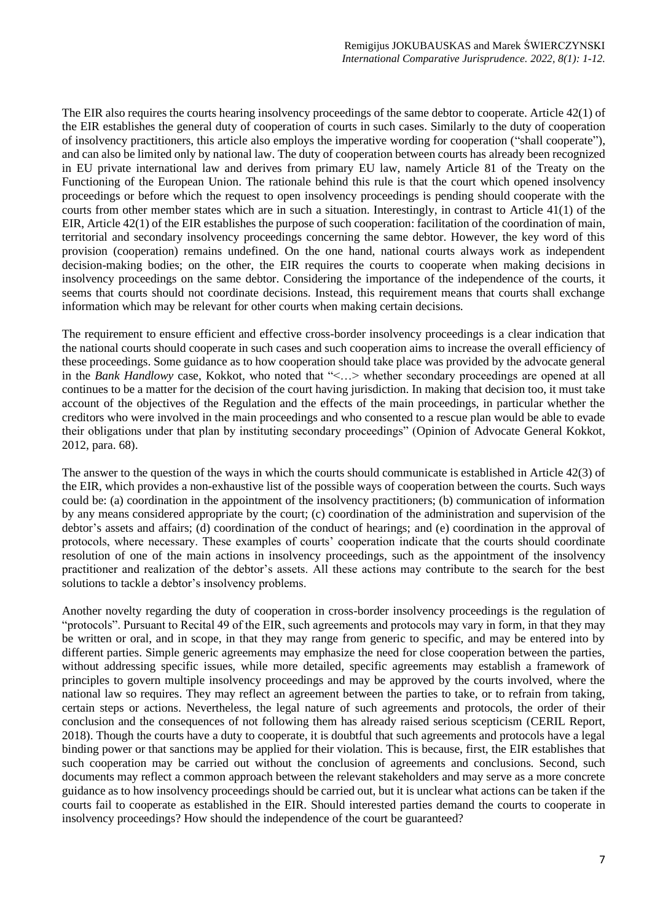The EIR also requires the courts hearing insolvency proceedings of the same debtor to cooperate. Article 42(1) of the EIR establishes the general duty of cooperation of courts in such cases. Similarly to the duty of cooperation of insolvency practitioners, this article also employs the imperative wording for cooperation ("shall cooperate"), and can also be limited only by national law. The duty of cooperation between courts has already been recognized in EU private international law and derives from primary EU law, namely Article 81 of the Treaty on the Functioning of the European Union. The rationale behind this rule is that the court which opened insolvency proceedings or before which the request to open insolvency proceedings is pending should cooperate with the courts from other member states which are in such a situation. Interestingly, in contrast to Article 41(1) of the EIR, Article 42(1) of the EIR establishes the purpose of such cooperation: facilitation of the coordination of main, territorial and secondary insolvency proceedings concerning the same debtor. However, the key word of this provision (cooperation) remains undefined. On the one hand, national courts always work as independent decision-making bodies; on the other, the EIR requires the courts to cooperate when making decisions in insolvency proceedings on the same debtor. Considering the importance of the independence of the courts, it seems that courts should not coordinate decisions. Instead, this requirement means that courts shall exchange information which may be relevant for other courts when making certain decisions.

The requirement to ensure efficient and effective cross-border insolvency proceedings is a clear indication that the national courts should cooperate in such cases and such cooperation aims to increase the overall efficiency of these proceedings. Some guidance as to how cooperation should take place was provided by the advocate general in the *Bank Handlowy* case, Kokkot, who noted that "<…> whether secondary proceedings are opened at all continues to be a matter for the decision of the court having jurisdiction. In making that decision too, it must take account of the objectives of the Regulation and the effects of the main proceedings, in particular whether the creditors who were involved in the main proceedings and who consented to a rescue plan would be able to evade their obligations under that plan by instituting secondary proceedings" (Opinion of Advocate General Kokkot, 2012, para. 68).

The answer to the question of the ways in which the courts should communicate is established in Article 42(3) of the EIR, which provides a non-exhaustive list of the possible ways of cooperation between the courts. Such ways could be: (a) coordination in the appointment of the insolvency practitioners; (b) communication of information by any means considered appropriate by the court; (c) coordination of the administration and supervision of the debtor's assets and affairs; (d) coordination of the conduct of hearings; and (e) coordination in the approval of protocols, where necessary. These examples of courts' cooperation indicate that the courts should coordinate resolution of one of the main actions in insolvency proceedings, such as the appointment of the insolvency practitioner and realization of the debtor's assets. All these actions may contribute to the search for the best solutions to tackle a debtor's insolvency problems.

Another novelty regarding the duty of cooperation in cross-border insolvency proceedings is the regulation of "protocols". Pursuant to Recital 49 of the EIR, such agreements and protocols may vary in form, in that they may be written or oral, and in scope, in that they may range from generic to specific, and may be entered into by different parties. Simple generic agreements may emphasize the need for close cooperation between the parties, without addressing specific issues, while more detailed, specific agreements may establish a framework of principles to govern multiple insolvency proceedings and may be approved by the courts involved, where the national law so requires. They may reflect an agreement between the parties to take, or to refrain from taking, certain steps or actions. Nevertheless, the legal nature of such agreements and protocols, the order of their conclusion and the consequences of not following them has already raised serious scepticism (CERIL Report, 2018). Though the courts have a duty to cooperate, it is doubtful that such agreements and protocols have a legal binding power or that sanctions may be applied for their violation. This is because, first, the EIR establishes that such cooperation may be carried out without the conclusion of agreements and conclusions. Second, such documents may reflect a common approach between the relevant stakeholders and may serve as a more concrete guidance as to how insolvency proceedings should be carried out, but it is unclear what actions can be taken if the courts fail to cooperate as established in the EIR. Should interested parties demand the courts to cooperate in insolvency proceedings? How should the independence of the court be guaranteed?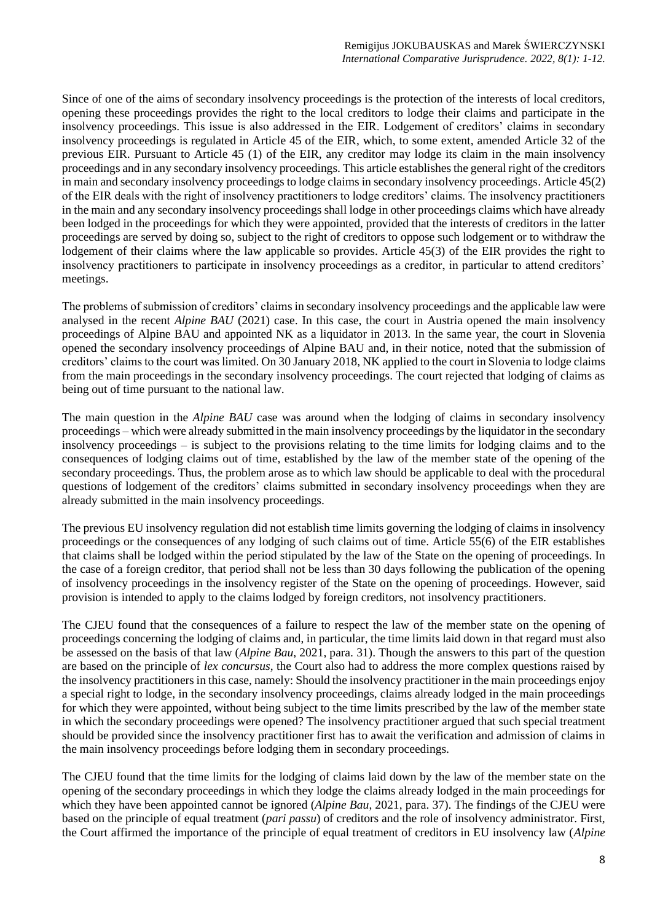Since of one of the aims of secondary insolvency proceedings is the protection of the interests of local creditors, opening these proceedings provides the right to the local creditors to lodge their claims and participate in the insolvency proceedings. This issue is also addressed in the EIR. Lodgement of creditors' claims in secondary insolvency proceedings is regulated in Article 45 of the EIR, which, to some extent, amended Article 32 of the previous EIR. Pursuant to Article 45 (1) of the EIR, any creditor may lodge its claim in the main insolvency proceedings and in any secondary insolvency proceedings. This article establishes the general right of the creditors in main and secondary insolvency proceedings to lodge claims in secondary insolvency proceedings. Article 45(2) of the EIR deals with the right of insolvency practitioners to lodge creditors' claims. The insolvency practitioners in the main and any secondary insolvency proceedings shall lodge in other proceedings claims which have already been lodged in the proceedings for which they were appointed, provided that the interests of creditors in the latter proceedings are served by doing so, subject to the right of creditors to oppose such lodgement or to withdraw the lodgement of their claims where the law applicable so provides. Article 45(3) of the EIR provides the right to insolvency practitioners to participate in insolvency proceedings as a creditor, in particular to attend creditors' meetings.

The problems of submission of creditors' claims in secondary insolvency proceedings and the applicable law were analysed in the recent *Alpine BAU* (2021) case. In this case, the court in Austria opened the main insolvency proceedings of Alpine BAU and appointed NK as a liquidator in 2013. In the same year, the court in Slovenia opened the secondary insolvency proceedings of Alpine BAU and, in their notice, noted that the submission of creditors' claims to the court was limited. On 30 January 2018, NK applied to the court in Slovenia to lodge claims from the main proceedings in the secondary insolvency proceedings. The court rejected that lodging of claims as being out of time pursuant to the national law.

The main question in the *Alpine BAU* case was around when the lodging of claims in secondary insolvency proceedings – which were already submitted in the main insolvency proceedings by the liquidator in the secondary insolvency proceedings – is subject to the provisions relating to the time limits for lodging claims and to the consequences of lodging claims out of time, established by the law of the member state of the opening of the secondary proceedings. Thus, the problem arose as to which law should be applicable to deal with the procedural questions of lodgement of the creditors' claims submitted in secondary insolvency proceedings when they are already submitted in the main insolvency proceedings.

The previous EU insolvency regulation did not establish time limits governing the lodging of claims in insolvency proceedings or the consequences of any lodging of such claims out of time. Article 55(6) of the EIR establishes that claims shall be lodged within the period stipulated by the law of the State on the opening of proceedings. In the case of a foreign creditor, that period shall not be less than 30 days following the publication of the opening of insolvency proceedings in the insolvency register of the State on the opening of proceedings. However, said provision is intended to apply to the claims lodged by foreign creditors, not insolvency practitioners.

The CJEU found that the consequences of a failure to respect the law of the member state on the opening of proceedings concerning the lodging of claims and, in particular, the time limits laid down in that regard must also be assessed on the basis of that law (*Alpine Bau*, 2021, para. 31). Though the answers to this part of the question are based on the principle of *lex concursus*, the Court also had to address the more complex questions raised by the insolvency practitioners in this case, namely: Should the insolvency practitioner in the main proceedings enjoy a special right to lodge, in the secondary insolvency proceedings, claims already lodged in the main proceedings for which they were appointed, without being subject to the time limits prescribed by the law of the member state in which the secondary proceedings were opened? The insolvency practitioner argued that such special treatment should be provided since the insolvency practitioner first has to await the verification and admission of claims in the main insolvency proceedings before lodging them in secondary proceedings.

The CJEU found that the time limits for the lodging of claims laid down by the law of the member state on the opening of the secondary proceedings in which they lodge the claims already lodged in the main proceedings for which they have been appointed cannot be ignored (*Alpine Bau*, 2021, para. 37). The findings of the CJEU were based on the principle of equal treatment (*pari passu*) of creditors and the role of insolvency administrator. First, the Court affirmed the importance of the principle of equal treatment of creditors in EU insolvency law (*Alpine*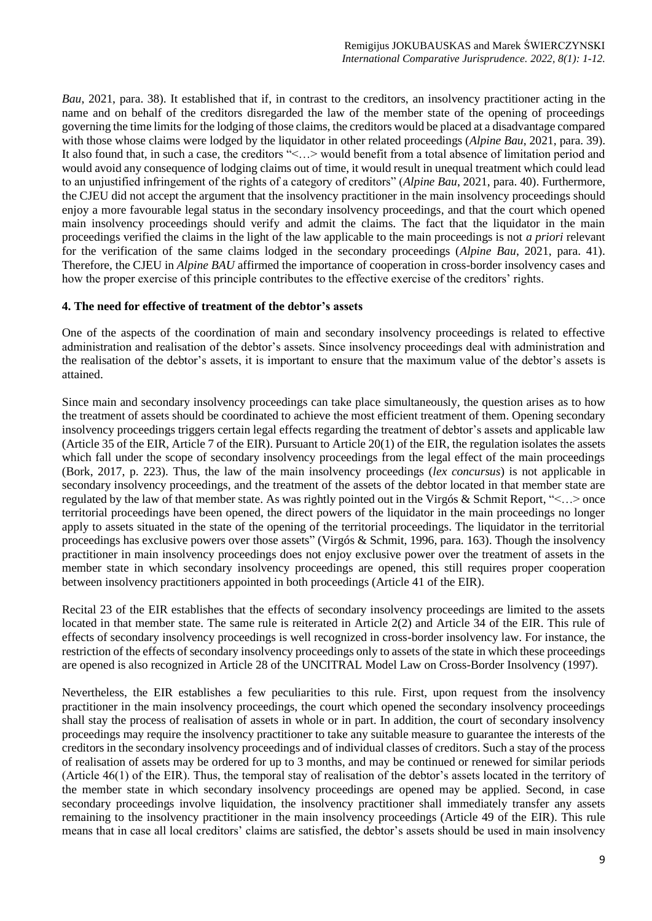*Bau*, 2021, para. 38). It established that if, in contrast to the creditors, an insolvency practitioner acting in the name and on behalf of the creditors disregarded the law of the member state of the opening of proceedings governing the time limits for the lodging of those claims, the creditors would be placed at a disadvantage compared with those whose claims were lodged by the liquidator in other related proceedings (*Alpine Bau*, 2021, para. 39). It also found that, in such a case, the creditors "<...> would benefit from a total absence of limitation period and would avoid any consequence of lodging claims out of time, it would result in unequal treatment which could lead to an unjustified infringement of the rights of a category of creditors" (*Alpine Bau*, 2021, para. 40). Furthermore, the CJEU did not accept the argument that the insolvency practitioner in the main insolvency proceedings should enjoy a more favourable legal status in the secondary insolvency proceedings, and that the court which opened main insolvency proceedings should verify and admit the claims. The fact that the liquidator in the main proceedings verified the claims in the light of the law applicable to the main proceedings is not *a priori* relevant for the verification of the same claims lodged in the secondary proceedings (*Alpine Bau*, 2021, para. 41). Therefore, the CJEU in *Alpine BAU* affirmed the importance of cooperation in cross-border insolvency cases and how the proper exercise of this principle contributes to the effective exercise of the creditors' rights.

### **4. The need for effective of treatment of the debtor's assets**

One of the aspects of the coordination of main and secondary insolvency proceedings is related to effective administration and realisation of the debtor's assets. Since insolvency proceedings deal with administration and the realisation of the debtor's assets, it is important to ensure that the maximum value of the debtor's assets is attained.

Since main and secondary insolvency proceedings can take place simultaneously, the question arises as to how the treatment of assets should be coordinated to achieve the most efficient treatment of them. Opening secondary insolvency proceedings triggers certain legal effects regarding the treatment of debtor's assets and applicable law (Article 35 of the EIR, Article 7 of the EIR). Pursuant to Article 20(1) of the EIR, the regulation isolates the assets which fall under the scope of secondary insolvency proceedings from the legal effect of the main proceedings (Bork, 2017, p. 223). Thus, the law of the main insolvency proceedings (*lex concursus*) is not applicable in secondary insolvency proceedings, and the treatment of the assets of the debtor located in that member state are regulated by the law of that member state. As was rightly pointed out in the Virgós & Schmit Report, "<…> once territorial proceedings have been opened, the direct powers of the liquidator in the main proceedings no longer apply to assets situated in the state of the opening of the territorial proceedings. The liquidator in the territorial proceedings has exclusive powers over those assets" (Virgós & Schmit, 1996, para. 163). Though the insolvency practitioner in main insolvency proceedings does not enjoy exclusive power over the treatment of assets in the member state in which secondary insolvency proceedings are opened, this still requires proper cooperation between insolvency practitioners appointed in both proceedings (Article 41 of the EIR).

Recital 23 of the EIR establishes that the effects of secondary insolvency proceedings are limited to the assets located in that member state. The same rule is reiterated in Article 2(2) and Article 34 of the EIR. This rule of effects of secondary insolvency proceedings is well recognized in cross-border insolvency law. For instance, the restriction of the effects of secondary insolvency proceedings only to assets of the state in which these proceedings are opened is also recognized in Article 28 of the UNCITRAL Model Law on Cross-Border Insolvency (1997).

Nevertheless, the EIR establishes a few peculiarities to this rule. First, upon request from the insolvency practitioner in the main insolvency proceedings, the court which opened the secondary insolvency proceedings shall stay the process of realisation of assets in whole or in part. In addition, the court of secondary insolvency proceedings may require the insolvency practitioner to take any suitable measure to guarantee the interests of the creditors in the secondary insolvency proceedings and of individual classes of creditors. Such a stay of the process of realisation of assets may be ordered for up to 3 months, and may be continued or renewed for similar periods (Article 46(1) of the EIR). Thus, the temporal stay of realisation of the debtor's assets located in the territory of the member state in which secondary insolvency proceedings are opened may be applied. Second, in case secondary proceedings involve liquidation, the insolvency practitioner shall immediately transfer any assets remaining to the insolvency practitioner in the main insolvency proceedings (Article 49 of the EIR). This rule means that in case all local creditors' claims are satisfied, the debtor's assets should be used in main insolvency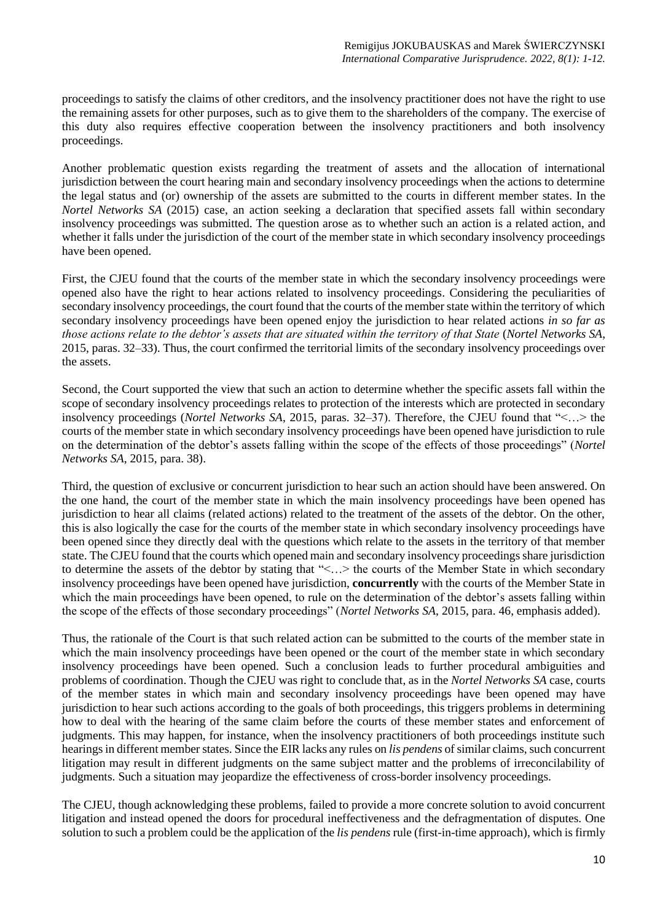proceedings to satisfy the claims of other creditors, and the insolvency practitioner does not have the right to use the remaining assets for other purposes, such as to give them to the shareholders of the company. The exercise of this duty also requires effective cooperation between the insolvency practitioners and both insolvency proceedings.

Another problematic question exists regarding the treatment of assets and the allocation of international jurisdiction between the court hearing main and secondary insolvency proceedings when the actions to determine the legal status and (or) ownership of the assets are submitted to the courts in different member states. In the *Nortel Networks SA* (2015) case, an action seeking a declaration that specified assets fall within secondary insolvency proceedings was submitted. The question arose as to whether such an action is a related action, and whether it falls under the jurisdiction of the court of the member state in which secondary insolvency proceedings have been opened.

First, the CJEU found that the courts of the member state in which the secondary insolvency proceedings were opened also have the right to hear actions related to insolvency proceedings. Considering the peculiarities of secondary insolvency proceedings, the court found that the courts of the member state within the territory of which secondary insolvency proceedings have been opened enjoy the jurisdiction to hear related actions *in so far as those actions relate to the debtor's assets that are situated within the territory of that State* (*Nortel Networks SA*, 2015, paras. 32–33). Thus, the court confirmed the territorial limits of the secondary insolvency proceedings over the assets.

Second, the Court supported the view that such an action to determine whether the specific assets fall within the scope of secondary insolvency proceedings relates to protection of the interests which are protected in secondary insolvency proceedings (*Nortel Networks SA*, 2015, paras. 32–37). Therefore, the CJEU found that "<…> the courts of the member state in which secondary insolvency proceedings have been opened have jurisdiction to rule on the determination of the debtor's assets falling within the scope of the effects of those proceedings" (*Nortel Networks SA*, 2015, para. 38).

Third, the question of exclusive or concurrent jurisdiction to hear such an action should have been answered. On the one hand, the court of the member state in which the main insolvency proceedings have been opened has jurisdiction to hear all claims (related actions) related to the treatment of the assets of the debtor. On the other, this is also logically the case for the courts of the member state in which secondary insolvency proceedings have been opened since they directly deal with the questions which relate to the assets in the territory of that member state. The CJEU found that the courts which opened main and secondary insolvency proceedings share jurisdiction to determine the assets of the debtor by stating that "<…> the courts of the Member State in which secondary insolvency proceedings have been opened have jurisdiction, **concurrently** with the courts of the Member State in which the main proceedings have been opened, to rule on the determination of the debtor's assets falling within the scope of the effects of those secondary proceedings" (*Nortel Networks SA*, 2015, para. 46, emphasis added).

Thus, the rationale of the Court is that such related action can be submitted to the courts of the member state in which the main insolvency proceedings have been opened or the court of the member state in which secondary insolvency proceedings have been opened. Such a conclusion leads to further procedural ambiguities and problems of coordination. Though the CJEU was right to conclude that, as in the *Nortel Networks SA* case, courts of the member states in which main and secondary insolvency proceedings have been opened may have jurisdiction to hear such actions according to the goals of both proceedings, this triggers problems in determining how to deal with the hearing of the same claim before the courts of these member states and enforcement of judgments. This may happen, for instance, when the insolvency practitioners of both proceedings institute such hearings in different member states. Since the EIR lacks any rules on *lis pendens* of similar claims, such concurrent litigation may result in different judgments on the same subject matter and the problems of irreconcilability of judgments. Such a situation may jeopardize the effectiveness of cross-border insolvency proceedings.

The CJEU, though acknowledging these problems, failed to provide a more concrete solution to avoid concurrent litigation and instead opened the doors for procedural ineffectiveness and the defragmentation of disputes. One solution to such a problem could be the application of the *lis pendens* rule (first-in-time approach), which is firmly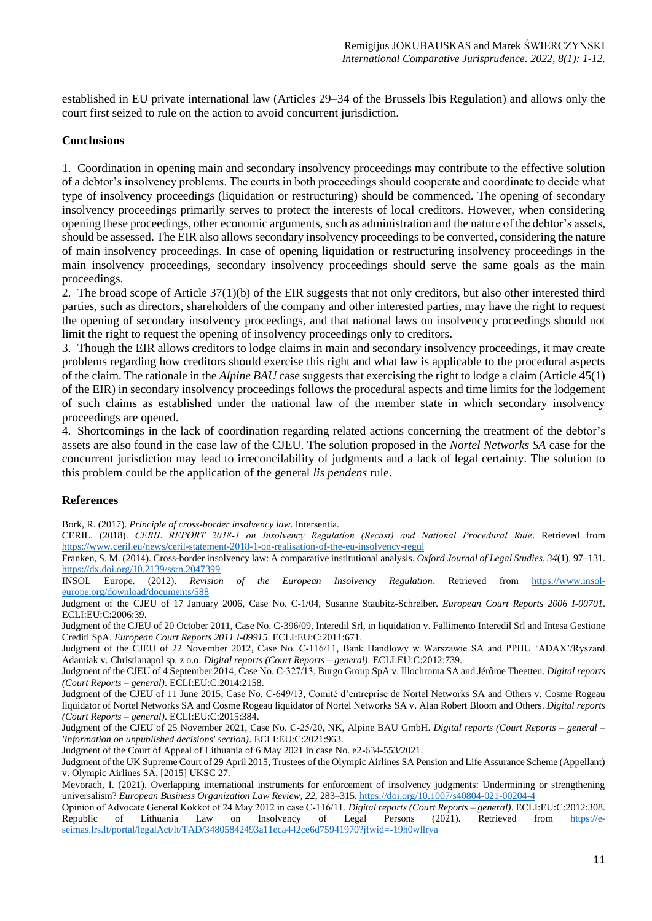established in EU private international law (Articles 29–34 of the Brussels lbis Regulation) and allows only the court first seized to rule on the action to avoid concurrent jurisdiction.

## **Conclusions**

1. Coordination in opening main and secondary insolvency proceedings may contribute to the effective solution of a debtor's insolvency problems. The courts in both proceedings should cooperate and coordinate to decide what type of insolvency proceedings (liquidation or restructuring) should be commenced. The opening of secondary insolvency proceedings primarily serves to protect the interests of local creditors. However, when considering opening these proceedings, other economic arguments, such as administration and the nature of the debtor's assets, should be assessed. The EIR also allows secondary insolvency proceedings to be converted, considering the nature of main insolvency proceedings. In case of opening liquidation or restructuring insolvency proceedings in the main insolvency proceedings, secondary insolvency proceedings should serve the same goals as the main proceedings.

2. The broad scope of Article 37(1)(b) of the EIR suggests that not only creditors, but also other interested third parties, such as directors, shareholders of the company and other interested parties, may have the right to request the opening of secondary insolvency proceedings, and that national laws on insolvency proceedings should not limit the right to request the opening of insolvency proceedings only to creditors.

3. Though the EIR allows creditors to lodge claims in main and secondary insolvency proceedings, it may create problems regarding how creditors should exercise this right and what law is applicable to the procedural aspects of the claim. The rationale in the *Alpine BAU* case suggests that exercising the right to lodge a claim (Article 45(1) of the EIR) in secondary insolvency proceedings follows the procedural aspects and time limits for the lodgement of such claims as established under the national law of the member state in which secondary insolvency proceedings are opened.

4. Shortcomings in the lack of coordination regarding related actions concerning the treatment of the debtor's assets are also found in the case law of the CJEU. The solution proposed in the *Nortel Networks SA* case for the concurrent jurisdiction may lead to irreconcilability of judgments and a lack of legal certainty. The solution to this problem could be the application of the general *lis pendens* rule.

### **References**

Bork, R. (2017). *Principle of cross-border insolvency law*. Intersentia.

CERIL. (2018). *CERIL REPORT 2018‐1 on Insolvency Regulation (Recast) and National Procedural Rule*. Retrieved from <https://www.ceril.eu/news/ceril-statement-2018-1-on-realisation-of-the-eu-insolvency-regul>

Franken, S. M. (2014). Cross-border insolvency law: A comparative institutional analysis. *Oxford Journal of Legal Studies*, *34*(1), 97–131. <https://dx.doi.org/10.2139/ssrn.2047399><br>INSOL Europe. (2012). Revision

of the European Insolvency Regulation. Retrieved from [https://www.insol](https://www.insol-europe.org/download/documents/588)[europe.org/download/documents/588](https://www.insol-europe.org/download/documents/588)

Judgment of the CJEU of 17 January 2006, Case No. C-1/04, Susanne Staubitz-Schreiber. *European Court Reports 2006 I-00701*. ECLI:EU:C:2006:39.

Judgment of the CJEU of 20 October 2011, Case No. C-396/09, Interedil Srl, in liquidation v. Fallimento Interedil Srl and Intesa Gestione Crediti SpA. *European Court Reports 2011 I-09915*. ECLI:EU:C:2011:671.

Judgment of the CJEU of 22 November 2012, Case No. C‑116/11, Bank Handlowy w Warszawie SA and PPHU 'ADAX'/Ryszard Adamiak v. Christianapol sp. z o.o. *Digital reports (Court Reports* – *general)*. ECLI:EU:C:2012:739.

Judgment of the CJEU of 4 September 2014, Case No. C‑327/13, Burgo Group SpA v. Illochroma SA and Jérôme Theetten. *Digital reports (Court Reports – general)*. ECLI:EU:C:2014:2158.

Judgment of the CJEU of 11 June 2015, Case No. C‑649/13, Comité d'entreprise de Nortel Networks SA and Others v. Cosme Rogeau liquidator of Nortel Networks SA and Cosme Rogeau liquidator of Nortel Networks SA v. Alan Robert Bloom and Others. *Digital reports (Court Reports* – *general)*. ECLI:EU:C:2015:384.

Judgment of the CJEU of 25 November 2021, Case No. C‑25/20, NK, Alpine BAU GmbH. *Digital reports (Court Reports* – *general* – *'Information on unpublished decisions' section)*. ECLI:EU:C:2021:963.

Judgment of the Court of Appeal of Lithuania of 6 May 2021 in case No. e2-634-553/2021.

Judgment of the UK Supreme Court of 29 April 2015, Trustees of the Olympic Airlines SA Pension and Life Assurance Scheme (Appellant) v. Olympic Airlines SA, [2015] UKSC 27.

Mevorach, I. (2021). Overlapping international instruments for enforcement of insolvency judgments: Undermining or strengthening universalism? *European Business Organization Law Review*, *22*, 283–315. <https://doi.org/10.1007/s40804-021-00204-4>

Opinion of Advocate General Kokkot of 24 May 2012 in case C‑116/11. *Digital reports (Court Reports* – *general)*. ECLI:EU:C:2012:308. Republic of Lithuania Law on Insolvency of Legal Persons (2021). Retrieved from [https://e](https://e-seimas.lrs.lt/portal/legalAct/lt/TAD/34805842493a11eca442ce6d75941970?jfwid=-19h0wllrya)[seimas.lrs.lt/portal/legalAct/lt/TAD/34805842493a11eca442ce6d75941970?jfwid=-19h0wllrya](https://e-seimas.lrs.lt/portal/legalAct/lt/TAD/34805842493a11eca442ce6d75941970?jfwid=-19h0wllrya)